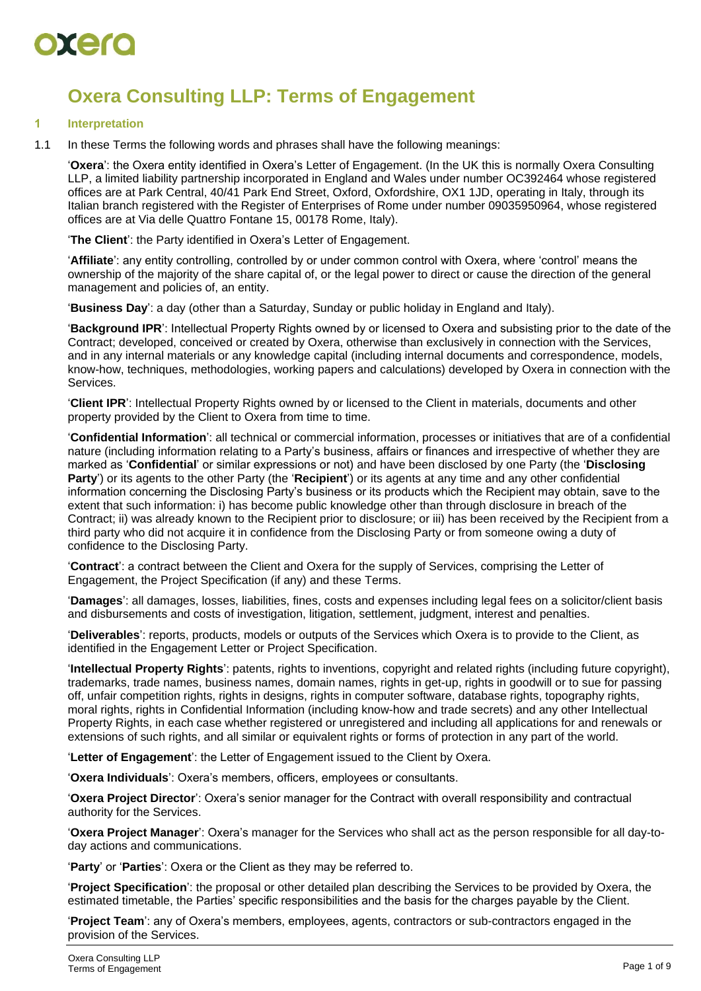

### **Oxera Consulting LLP: Terms of Engagement**

#### **1 Interpretation**

1.1 In these Terms the following words and phrases shall have the following meanings:

'**Oxera**': the Oxera entity identified in Oxera's Letter of Engagement. (In the UK this is normally Oxera Consulting LLP, a limited liability partnership incorporated in England and Wales under number OC392464 whose registered offices are at Park Central, 40/41 Park End Street, Oxford, Oxfordshire, OX1 1JD, operating in Italy, through its Italian branch registered with the Register of Enterprises of Rome under number 09035950964, whose registered offices are at Via delle Quattro Fontane 15, 00178 Rome, Italy).

'**The Client**': the Party identified in Oxera's Letter of Engagement.

'**Affiliate**': any entity controlling, controlled by or under common control with Oxera, where 'control' means the ownership of the majority of the share capital of, or the legal power to direct or cause the direction of the general management and policies of, an entity.

'**Business Day**': a day (other than a Saturday, Sunday or public holiday in England and Italy).

'**Background IPR**': Intellectual Property Rights owned by or licensed to Oxera and subsisting prior to the date of the Contract; developed, conceived or created by Oxera, otherwise than exclusively in connection with the Services, and in any internal materials or any knowledge capital (including internal documents and correspondence, models, know-how, techniques, methodologies, working papers and calculations) developed by Oxera in connection with the Services.

'**Client IPR**': Intellectual Property Rights owned by or licensed to the Client in materials, documents and other property provided by the Client to Oxera from time to time.

'**Confidential Information**': all technical or commercial information, processes or initiatives that are of a confidential nature (including information relating to a Party's business, affairs or finances and irrespective of whether they are marked as '**Confidential**' or similar expressions or not) and have been disclosed by one Party (the '**Disclosing Party**') or its agents to the other Party (the '**Recipient**') or its agents at any time and any other confidential information concerning the Disclosing Party's business or its products which the Recipient may obtain, save to the extent that such information: i) has become public knowledge other than through disclosure in breach of the Contract; ii) was already known to the Recipient prior to disclosure; or iii) has been received by the Recipient from a third party who did not acquire it in confidence from the Disclosing Party or from someone owing a duty of confidence to the Disclosing Party.

'**Contract**': a contract between the Client and Oxera for the supply of Services, comprising the Letter of Engagement, the Project Specification (if any) and these Terms.

'**Damages**': all damages, losses, liabilities, fines, costs and expenses including legal fees on a solicitor/client basis and disbursements and costs of investigation, litigation, settlement, judgment, interest and penalties.

'**Deliverables**': reports, products, models or outputs of the Services which Oxera is to provide to the Client, as identified in the Engagement Letter or Project Specification.

'**Intellectual Property Rights**': patents, rights to inventions, copyright and related rights (including future copyright), trademarks, trade names, business names, domain names, rights in get-up, rights in goodwill or to sue for passing off, unfair competition rights, rights in designs, rights in computer software, database rights, topography rights, moral rights, rights in Confidential Information (including know-how and trade secrets) and any other Intellectual Property Rights, in each case whether registered or unregistered and including all applications for and renewals or extensions of such rights, and all similar or equivalent rights or forms of protection in any part of the world.

'**Letter of Engagement**': the Letter of Engagement issued to the Client by Oxera.

'**Oxera Individuals**': Oxera's members, officers, employees or consultants.

'**Oxera Project Director**': Oxera's senior manager for the Contract with overall responsibility and contractual authority for the Services.

'**Oxera Project Manager**': Oxera's manager for the Services who shall act as the person responsible for all day-today actions and communications.

'**Party**' or '**Parties**': Oxera or the Client as they may be referred to.

'**Project Specification**': the proposal or other detailed plan describing the Services to be provided by Oxera, the estimated timetable, the Parties' specific responsibilities and the basis for the charges payable by the Client.

'**Project Team**': any of Oxera's members, employees, agents, contractors or sub-contractors engaged in the provision of the Services.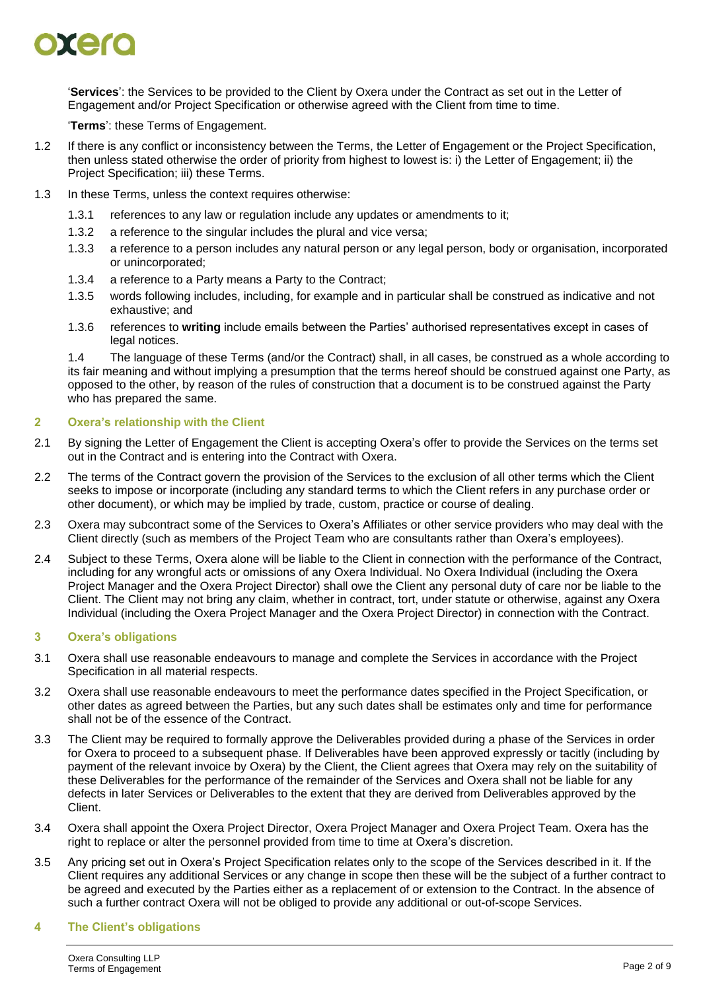## DIETO

'**Services**': the Services to be provided to the Client by Oxera under the Contract as set out in the Letter of Engagement and/or Project Specification or otherwise agreed with the Client from time to time.

'**Terms**': these Terms of Engagement.

- 1.2 If there is any conflict or inconsistency between the Terms, the Letter of Engagement or the Project Specification, then unless stated otherwise the order of priority from highest to lowest is: i) the Letter of Engagement; ii) the Project Specification; iii) these Terms.
- 1.3 In these Terms, unless the context requires otherwise:
	- 1.3.1 references to any law or regulation include any updates or amendments to it;
	- 1.3.2 a reference to the singular includes the plural and vice versa;
	- 1.3.3 a reference to a person includes any natural person or any legal person, body or organisation, incorporated or unincorporated;
	- 1.3.4 a reference to a Party means a Party to the Contract;
	- 1.3.5 words following includes, including, for example and in particular shall be construed as indicative and not exhaustive; and
	- 1.3.6 references to **writing** include emails between the Parties' authorised representatives except in cases of legal notices.

1.4 The language of these Terms (and/or the Contract) shall, in all cases, be construed as a whole according to its fair meaning and without implying a presumption that the terms hereof should be construed against one Party, as opposed to the other, by reason of the rules of construction that a document is to be construed against the Party who has prepared the same.

#### <span id="page-1-0"></span>**2 Oxera's relationship with the Client**

- 2.1 By signing the Letter of Engagement the Client is accepting Oxera's offer to provide the Services on the terms set out in the Contract and is entering into the Contract with Oxera.
- 2.2 The terms of the Contract govern the provision of the Services to the exclusion of all other terms which the Client seeks to impose or incorporate (including any standard terms to which the Client refers in any purchase order or other document), or which may be implied by trade, custom, practice or course of dealing.
- 2.3 Oxera may subcontract some of the Services to Oxera's Affiliates or other service providers who may deal with the Client directly (such as members of the Project Team who are consultants rather than Oxera's employees).
- <span id="page-1-1"></span>2.4 Subject to these Terms, Oxera alone will be liable to the Client in connection with the performance of the Contract, including for any wrongful acts or omissions of any Oxera Individual. No Oxera Individual (including the Oxera Project Manager and the Oxera Project Director) shall owe the Client any personal duty of care nor be liable to the Client. The Client may not bring any claim, whether in contract, tort, under statute or otherwise, against any Oxera Individual (including the Oxera Project Manager and the Oxera Project Director) in connection with the Contract.

#### **3 Oxera's obligations**

- 3.1 Oxera shall use reasonable endeavours to manage and complete the Services in accordance with the Project Specification in all material respects.
- 3.2 Oxera shall use reasonable endeavours to meet the performance dates specified in the Project Specification, or other dates as agreed between the Parties, but any such dates shall be estimates only and time for performance shall not be of the essence of the Contract.
- 3.3 The Client may be required to formally approve the Deliverables provided during a phase of the Services in order for Oxera to proceed to a subsequent phase. If Deliverables have been approved expressly or tacitly (including by payment of the relevant invoice by Oxera) by the Client, the Client agrees that Oxera may rely on the suitability of these Deliverables for the performance of the remainder of the Services and Oxera shall not be liable for any defects in later Services or Deliverables to the extent that they are derived from Deliverables approved by the Client.
- 3.4 Oxera shall appoint the Oxera Project Director, Oxera Project Manager and Oxera Project Team. Oxera has the right to replace or alter the personnel provided from time to time at Oxera's discretion.
- <span id="page-1-2"></span>3.5 Any pricing set out in Oxera's Project Specification relates only to the scope of the Services described in it. If the Client requires any additional Services or any change in scope then these will be the subject of a further contract to be agreed and executed by the Parties either as a replacement of or extension to the Contract. In the absence of such a further contract Oxera will not be obliged to provide any additional or out-of-scope Services.

#### **4 The Client's obligations**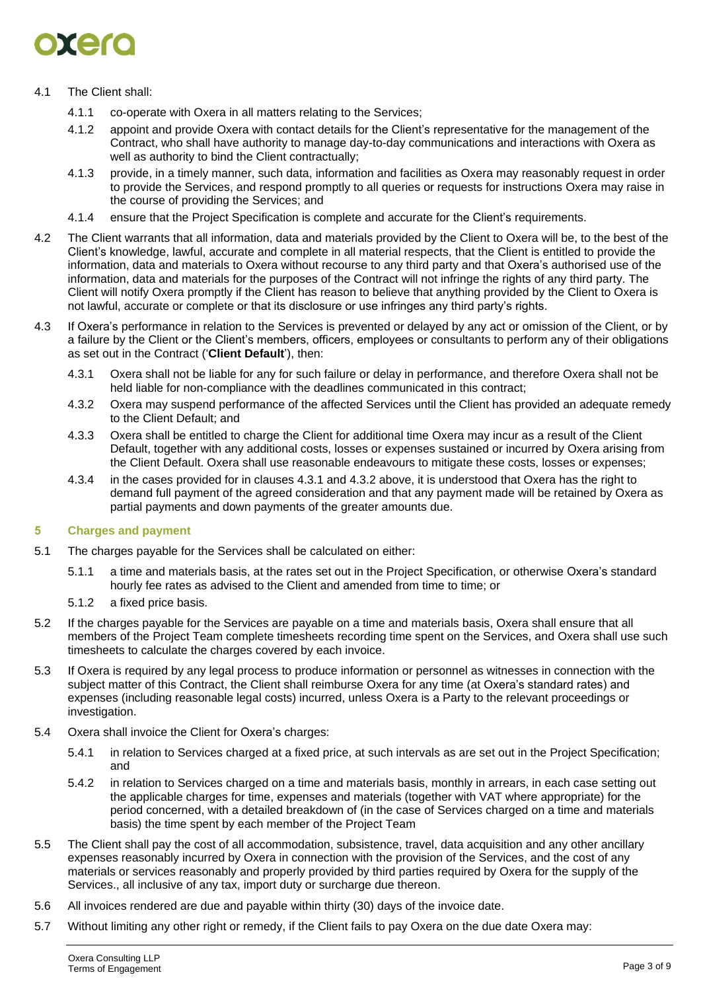### DIEK

#### 4.1 The Client shall:

- 4.1.1 co-operate with Oxera in all matters relating to the Services;
- 4.1.2 appoint and provide Oxera with contact details for the Client's representative for the management of the Contract, who shall have authority to manage day-to-day communications and interactions with Oxera as well as authority to bind the Client contractually;
- 4.1.3 provide, in a timely manner, such data, information and facilities as Oxera may reasonably request in order to provide the Services, and respond promptly to all queries or requests for instructions Oxera may raise in the course of providing the Services; and
- 4.1.4 ensure that the Project Specification is complete and accurate for the Client's requirements.
- 4.2 The Client warrants that all information, data and materials provided by the Client to Oxera will be, to the best of the Client's knowledge, lawful, accurate and complete in all material respects, that the Client is entitled to provide the information, data and materials to Oxera without recourse to any third party and that Oxera's authorised use of the information, data and materials for the purposes of the Contract will not infringe the rights of any third party. The Client will notify Oxera promptly if the Client has reason to believe that anything provided by the Client to Oxera is not lawful, accurate or complete or that its disclosure or use infringes any third party's rights.
- 4.3 If Oxera's performance in relation to the Services is prevented or delayed by any act or omission of the Client, or by a failure by the Client or the Client's members, officers, employees or consultants to perform any of their obligations as set out in the Contract ('**Client Default**'), then:
	- 4.3.1 Oxera shall not be liable for any for such failure or delay in performance, and therefore Oxera shall not be held liable for non-compliance with the deadlines communicated in this contract;
	- 4.3.2 Oxera may suspend performance of the affected Services until the Client has provided an adequate remedy to the Client Default; and
	- 4.3.3 Oxera shall be entitled to charge the Client for additional time Oxera may incur as a result of the Client Default, together with any additional costs, losses or expenses sustained or incurred by Oxera arising from the Client Default. Oxera shall use reasonable endeavours to mitigate these costs, losses or expenses;
	- 4.3.4 in the cases provided for in clauses 4.3.1 and 4.3.2 above, it is understood that Oxera has the right to demand full payment of the agreed consideration and that any payment made will be retained by Oxera as partial payments and down payments of the greater amounts due.

#### **5 Charges and payment**

- 5.1 The charges payable for the Services shall be calculated on either:
	- 5.1.1 a time and materials basis, at the rates set out in the Project Specification, or otherwise Oxera's standard hourly fee rates as advised to the Client and amended from time to time; or
	- 5.1.2 a fixed price basis.
- 5.2 If the charges payable for the Services are payable on a time and materials basis, Oxera shall ensure that all members of the Project Team complete timesheets recording time spent on the Services, and Oxera shall use such timesheets to calculate the charges covered by each invoice.
- 5.3 If Oxera is required by any legal process to produce information or personnel as witnesses in connection with the subject matter of this Contract, the Client shall reimburse Oxera for any time (at Oxera's standard rates) and expenses (including reasonable legal costs) incurred, unless Oxera is a Party to the relevant proceedings or investigation.
- 5.4 Oxera shall invoice the Client for Oxera's charges:
	- 5.4.1 in relation to Services charged at a fixed price, at such intervals as are set out in the Project Specification; and
	- 5.4.2 in relation to Services charged on a time and materials basis, monthly in arrears, in each case setting out the applicable charges for time, expenses and materials (together with VAT where appropriate) for the period concerned, with a detailed breakdown of (in the case of Services charged on a time and materials basis) the time spent by each member of the Project Team
- 5.5 The Client shall pay the cost of all accommodation, subsistence, travel, data acquisition and any other ancillary expenses reasonably incurred by Oxera in connection with the provision of the Services, and the cost of any materials or services reasonably and properly provided by third parties required by Oxera for the supply of the Services., all inclusive of any tax, import duty or surcharge due thereon.
- 5.6 All invoices rendered are due and payable within thirty (30) days of the invoice date.
- 5.7 Without limiting any other right or remedy, if the Client fails to pay Oxera on the due date Oxera may: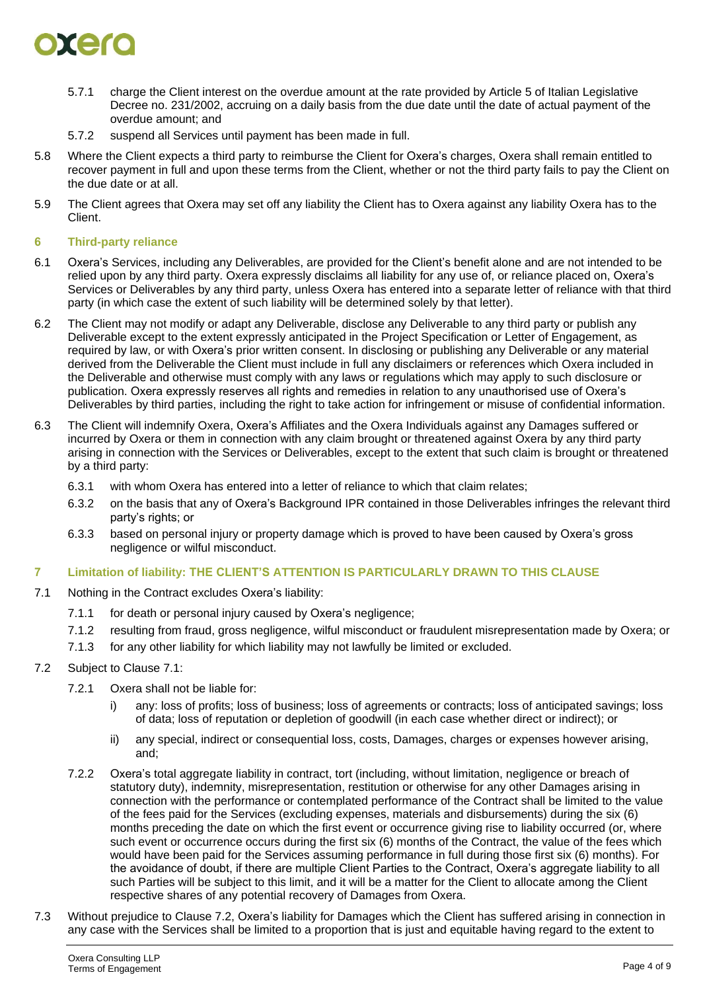## $\bullet$  and

- 5.7.1 charge the Client interest on the overdue amount at the rate provided by Article 5 of Italian Legislative Decree no. 231/2002, accruing on a daily basis from the due date until the date of actual payment of the overdue amount; and
- 5.7.2 suspend all Services until payment has been made in full.
- 5.8 Where the Client expects a third party to reimburse the Client for Oxera's charges, Oxera shall remain entitled to recover payment in full and upon these terms from the Client, whether or not the third party fails to pay the Client on the due date or at all.
- 5.9 The Client agrees that Oxera may set off any liability the Client has to Oxera against any liability Oxera has to the Client.

#### <span id="page-3-3"></span>**6 Third-party reliance**

- 6.1 Oxera's Services, including any Deliverables, are provided for the Client's benefit alone and are not intended to be relied upon by any third party. Oxera expressly disclaims all liability for any use of, or reliance placed on, Oxera's Services or Deliverables by any third party, unless Oxera has entered into a separate letter of reliance with that third party (in which case the extent of such liability will be determined solely by that letter).
- 6.2 The Client may not modify or adapt any Deliverable, disclose any Deliverable to any third party or publish any Deliverable except to the extent expressly anticipated in the Project Specification or Letter of Engagement, as required by law, or with Oxera's prior written consent. In disclosing or publishing any Deliverable or any material derived from the Deliverable the Client must include in full any disclaimers or references which Oxera included in the Deliverable and otherwise must comply with any laws or regulations which may apply to such disclosure or publication. Oxera expressly reserves all rights and remedies in relation to any unauthorised use of Oxera's Deliverables by third parties, including the right to take action for infringement or misuse of confidential information.
- <span id="page-3-4"></span>6.3 The Client will indemnify Oxera, Oxera's Affiliates and the Oxera Individuals against any Damages suffered or incurred by Oxera or them in connection with any claim brought or threatened against Oxera by any third party arising in connection with the Services or Deliverables, except to the extent that such claim is brought or threatened by a third party:
	- 6.3.1 with whom Oxera has entered into a letter of reliance to which that claim relates;
	- 6.3.2 on the basis that any of Oxera's Background IPR contained in those Deliverables infringes the relevant third party's rights; or
	- 6.3.3 based on personal injury or property damage which is proved to have been caused by Oxera's gross negligence or wilful misconduct.

#### <span id="page-3-2"></span>**7 Limitation of liability: THE CLIENT'S ATTENTION IS PARTICULARLY DRAWN TO THIS CLAUSE**

- <span id="page-3-0"></span>7.1 Nothing in the Contract excludes Oxera's liability:
	- 7.1.1 for death or personal injury caused by Oxera's negligence;
	- 7.1.2 resulting from fraud, gross negligence, wilful misconduct or fraudulent misrepresentation made by Oxera; or
	- 7.1.3 for any other liability for which liability may not lawfully be limited or excluded.
- <span id="page-3-1"></span>7.2 Subject to Clause [7.1:](#page-3-0)
	- 7.2.1 Oxera shall not be liable for:
		- i) any: loss of profits; loss of business; loss of agreements or contracts; loss of anticipated savings; loss of data; loss of reputation or depletion of goodwill (in each case whether direct or indirect); or
		- ii) any special, indirect or consequential loss, costs, Damages, charges or expenses however arising, and;
	- 7.2.2 Oxera's total aggregate liability in contract, tort (including, without limitation, negligence or breach of statutory duty), indemnity, misrepresentation, restitution or otherwise for any other Damages arising in connection with the performance or contemplated performance of the Contract shall be limited to the value of the fees paid for the Services (excluding expenses, materials and disbursements) during the six (6) months preceding the date on which the first event or occurrence giving rise to liability occurred (or, where such event or occurrence occurs during the first six (6) months of the Contract, the value of the fees which would have been paid for the Services assuming performance in full during those first six (6) months). For the avoidance of doubt, if there are multiple Client Parties to the Contract, Oxera's aggregate liability to all such Parties will be subject to this limit, and it will be a matter for the Client to allocate among the Client respective shares of any potential recovery of Damages from Oxera.
- 7.3 Without prejudice to Clause [7.2,](#page-3-1) Oxera's liability for Damages which the Client has suffered arising in connection in any case with the Services shall be limited to a proportion that is just and equitable having regard to the extent to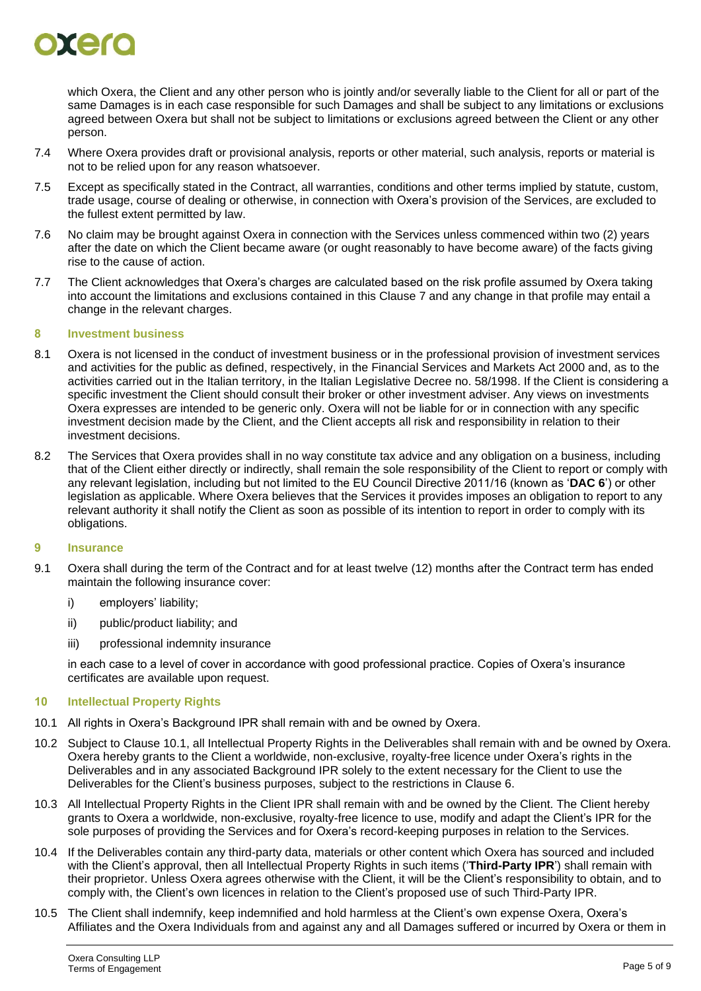

which Oxera, the Client and any other person who is jointly and/or severally liable to the Client for all or part of the same Damages is in each case responsible for such Damages and shall be subject to any limitations or exclusions agreed between Oxera but shall not be subject to limitations or exclusions agreed between the Client or any other person.

- 7.4 Where Oxera provides draft or provisional analysis, reports or other material, such analysis, reports or material is not to be relied upon for any reason whatsoever.
- 7.5 Except as specifically stated in the Contract, all warranties, conditions and other terms implied by statute, custom, trade usage, course of dealing or otherwise, in connection with Oxera's provision of the Services, are excluded to the fullest extent permitted by law.
- 7.6 No claim may be brought against Oxera in connection with the Services unless commenced within two (2) years after the date on which the Client became aware (or ought reasonably to have become aware) of the facts giving rise to the cause of action.
- 7.7 The Client acknowledges that Oxera's charges are calculated based on the risk profile assumed by Oxera taking into account the limitations and exclusions contained in this Clause [7](#page-3-2) and any change in that profile may entail a change in the relevant charges.

#### **8 Investment business**

- 8.1 Oxera is not licensed in the conduct of investment business or in the professional provision of investment services and activities for the public as defined, respectively, in the Financial Services and Markets Act 2000 and, as to the activities carried out in the Italian territory, in the Italian Legislative Decree no. 58/1998. If the Client is considering a specific investment the Client should consult their broker or other investment adviser. Any views on investments Oxera expresses are intended to be generic only. Oxera will not be liable for or in connection with any specific investment decision made by the Client, and the Client accepts all risk and responsibility in relation to their investment decisions.
- 8.2 The Services that Oxera provides shall in no way constitute tax advice and any obligation on a business, including that of the Client either directly or indirectly, shall remain the sole responsibility of the Client to report or comply with any relevant legislation, including but not limited to the EU Council Directive 2011/16 (known as '**DAC 6**') or other legislation as applicable. Where Oxera believes that the Services it provides imposes an obligation to report to any relevant authority it shall notify the Client as soon as possible of its intention to report in order to comply with its obligations.

#### **9 Insurance**

- 9.1 Oxera shall during the term of the Contract and for at least twelve (12) months after the Contract term has ended maintain the following insurance cover:
	- i) employers' liability;
	- ii) public/product liability; and
	- iii) professional indemnity insurance

in each case to a level of cover in accordance with good professional practice. Copies of Oxera's insurance certificates are available upon request.

#### **10 Intellectual Property Rights**

- <span id="page-4-0"></span>10.1 All rights in Oxera's Background IPR shall remain with and be owned by Oxera.
- 10.2 Subject to Clause [10.1,](#page-4-0) all Intellectual Property Rights in the Deliverables shall remain with and be owned by Oxera. Oxera hereby grants to the Client a worldwide, non-exclusive, royalty-free licence under Oxera's rights in the Deliverables and in any associated Background IPR solely to the extent necessary for the Client to use the Deliverables for the Client's business purposes, subject to the restrictions in Clause [6.](#page-3-3)
- 10.3 All Intellectual Property Rights in the Client IPR shall remain with and be owned by the Client. The Client hereby grants to Oxera a worldwide, non-exclusive, royalty-free licence to use, modify and adapt the Client's IPR for the sole purposes of providing the Services and for Oxera's record-keeping purposes in relation to the Services.
- 10.4 If the Deliverables contain any third-party data, materials or other content which Oxera has sourced and included with the Client's approval, then all Intellectual Property Rights in such items ('**Third-Party IPR**') shall remain with their proprietor. Unless Oxera agrees otherwise with the Client, it will be the Client's responsibility to obtain, and to comply with, the Client's own licences in relation to the Client's proposed use of such Third-Party IPR.
- <span id="page-4-1"></span>10.5 The Client shall indemnify, keep indemnified and hold harmless at the Client's own expense Oxera, Oxera's Affiliates and the Oxera Individuals from and against any and all Damages suffered or incurred by Oxera or them in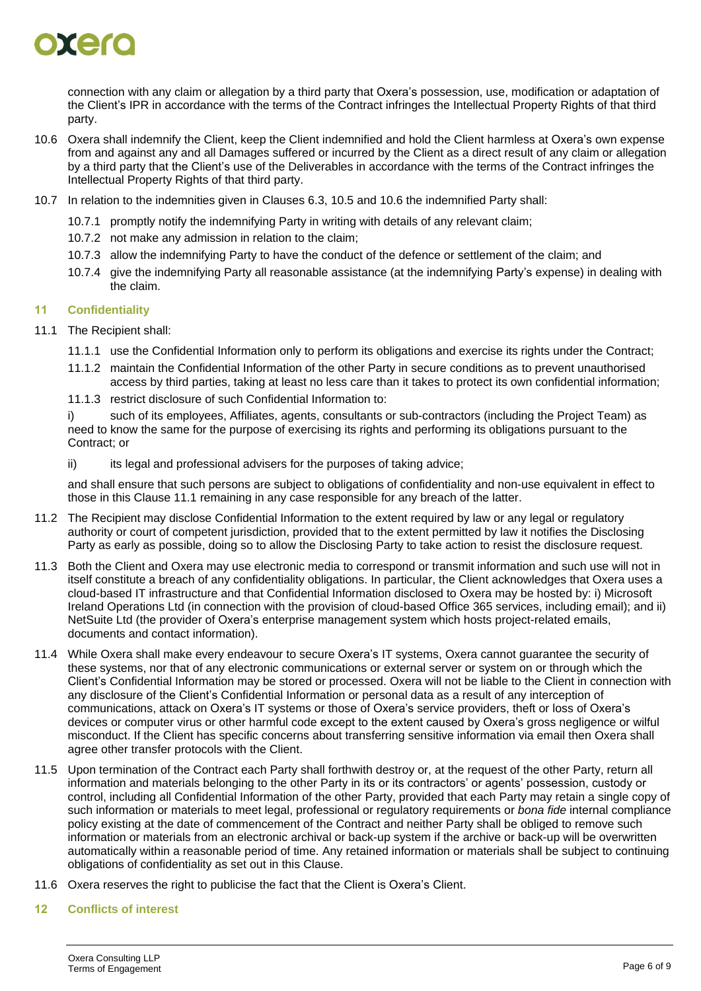### DIETO

connection with any claim or allegation by a third party that Oxera's possession, use, modification or adaptation of the Client's IPR in accordance with the terms of the Contract infringes the Intellectual Property Rights of that third party.

- <span id="page-5-0"></span>10.6 Oxera shall indemnify the Client, keep the Client indemnified and hold the Client harmless at Oxera's own expense from and against any and all Damages suffered or incurred by the Client as a direct result of any claim or allegation by a third party that the Client's use of the Deliverables in accordance with the terms of the Contract infringes the Intellectual Property Rights of that third party.
- 10.7 In relation to the indemnities given in Clauses [6.3,](#page-3-4) [10.5](#page-4-1) and [10.6](#page-5-0) the indemnified Party shall:
	- 10.7.1 promptly notify the indemnifying Party in writing with details of any relevant claim;
	- 10.7.2 not make any admission in relation to the claim;
	- 10.7.3 allow the indemnifying Party to have the conduct of the defence or settlement of the claim; and
	- 10.7.4 give the indemnifying Party all reasonable assistance (at the indemnifying Party's expense) in dealing with the claim.

#### **11 Confidentiality**

- <span id="page-5-1"></span>11.1 The Recipient shall:
	- 11.1.1 use the Confidential Information only to perform its obligations and exercise its rights under the Contract;
	- 11.1.2 maintain the Confidential Information of the other Party in secure conditions as to prevent unauthorised access by third parties, taking at least no less care than it takes to protect its own confidential information;
	- 11.1.3 restrict disclosure of such Confidential Information to:

i) such of its employees, Affiliates, agents, consultants or sub-contractors (including the Project Team) as need to know the same for the purpose of exercising its rights and performing its obligations pursuant to the Contract; or

ii) its legal and professional advisers for the purposes of taking advice;

and shall ensure that such persons are subject to obligations of confidentiality and non-use equivalent in effect to those in this Clause [11.1](#page-5-1) remaining in any case responsible for any breach of the latter.

- 11.2 The Recipient may disclose Confidential Information to the extent required by law or any legal or regulatory authority or court of competent jurisdiction, provided that to the extent permitted by law it notifies the Disclosing Party as early as possible, doing so to allow the Disclosing Party to take action to resist the disclosure request.
- 11.3 Both the Client and Oxera may use electronic media to correspond or transmit information and such use will not in itself constitute a breach of any confidentiality obligations. In particular, the Client acknowledges that Oxera uses a cloud-based IT infrastructure and that Confidential Information disclosed to Oxera may be hosted by: i) Microsoft Ireland Operations Ltd (in connection with the provision of cloud-based Office 365 services, including email); and ii) NetSuite Ltd (the provider of Oxera's enterprise management system which hosts project-related emails, documents and contact information).
- 11.4 While Oxera shall make every endeavour to secure Oxera's IT systems, Oxera cannot guarantee the security of these systems, nor that of any electronic communications or external server or system on or through which the Client's Confidential Information may be stored or processed. Oxera will not be liable to the Client in connection with any disclosure of the Client's Confidential Information or personal data as a result of any interception of communications, attack on Oxera's IT systems or those of Oxera's service providers, theft or loss of Oxera's devices or computer virus or other harmful code except to the extent caused by Oxera's gross negligence or wilful misconduct. If the Client has specific concerns about transferring sensitive information via email then Oxera shall agree other transfer protocols with the Client.
- 11.5 Upon termination of the Contract each Party shall forthwith destroy or, at the request of the other Party, return all information and materials belonging to the other Party in its or its contractors' or agents' possession, custody or control, including all Confidential Information of the other Party, provided that each Party may retain a single copy of such information or materials to meet legal, professional or regulatory requirements or *bona fide* internal compliance policy existing at the date of commencement of the Contract and neither Party shall be obliged to remove such information or materials from an electronic archival or back-up system if the archive or back-up will be overwritten automatically within a reasonable period of time. Any retained information or materials shall be subject to continuing obligations of confidentiality as set out in this Clause.
- 11.6 Oxera reserves the right to publicise the fact that the Client is Oxera's Client.
- **12 Conflicts of interest**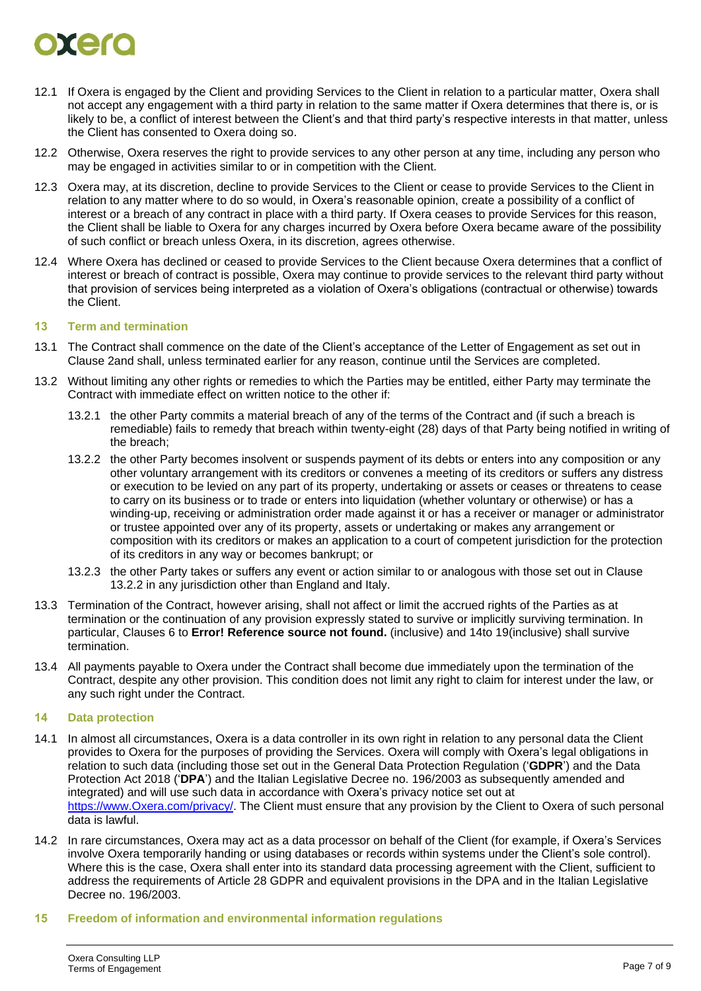# $\bullet$  and

- 12.1 If Oxera is engaged by the Client and providing Services to the Client in relation to a particular matter, Oxera shall not accept any engagement with a third party in relation to the same matter if Oxera determines that there is, or is likely to be, a conflict of interest between the Client's and that third party's respective interests in that matter, unless the Client has consented to Oxera doing so.
- 12.2 Otherwise, Oxera reserves the right to provide services to any other person at any time, including any person who may be engaged in activities similar to or in competition with the Client.
- 12.3 Oxera may, at its discretion, decline to provide Services to the Client or cease to provide Services to the Client in relation to any matter where to do so would, in Oxera's reasonable opinion, create a possibility of a conflict of interest or a breach of any contract in place with a third party. If Oxera ceases to provide Services for this reason, the Client shall be liable to Oxera for any charges incurred by Oxera before Oxera became aware of the possibility of such conflict or breach unless Oxera, in its discretion, agrees otherwise.
- 12.4 Where Oxera has declined or ceased to provide Services to the Client because Oxera determines that a conflict of interest or breach of contract is possible, Oxera may continue to provide services to the relevant third party without that provision of services being interpreted as a violation of Oxera's obligations (contractual or otherwise) towards the Client.

#### **13 Term and termination**

- 13.1 The Contract shall commence on the date of the Client's acceptance of the Letter of Engagement as set out in Clause [2a](#page-1-0)nd shall, unless terminated earlier for any reason, continue until the Services are completed.
- <span id="page-6-0"></span>13.2 Without limiting any other rights or remedies to which the Parties may be entitled, either Party may terminate the Contract with immediate effect on written notice to the other if:
	- 13.2.1 the other Party commits a material breach of any of the terms of the Contract and (if such a breach is remediable) fails to remedy that breach within twenty-eight (28) days of that Party being notified in writing of the breach;
	- 13.2.2 the other Party becomes insolvent or suspends payment of its debts or enters into any composition or any other voluntary arrangement with its creditors or convenes a meeting of its creditors or suffers any distress or execution to be levied on any part of its property, undertaking or assets or ceases or threatens to cease to carry on its business or to trade or enters into liquidation (whether voluntary or otherwise) or has a winding-up, receiving or administration order made against it or has a receiver or manager or administrator or trustee appointed over any of its property, assets or undertaking or makes any arrangement or composition with its creditors or makes an application to a court of competent jurisdiction for the protection of its creditors in any way or becomes bankrupt; or
	- 13.2.3 the other Party takes or suffers any event or action similar to or analogous with those set out in Clause [13.2.2](#page-6-0) in any jurisdiction other than England and Italy.
- 13.3 Termination of the Contract, however arising, shall not affect or limit the accrued rights of the Parties as at termination or the continuation of any provision expressly stated to survive or implicitly surviving termination. In particular, Clauses [6](#page-3-3) to **Error! Reference source not found.** (inclusive) and [14t](#page-6-1)o [19\(](#page-7-0)inclusive) shall survive termination.
- 13.4 All payments payable to Oxera under the Contract shall become due immediately upon the termination of the Contract, despite any other provision. This condition does not limit any right to claim for interest under the law, or any such right under the Contract.

#### <span id="page-6-1"></span>**14 Data protection**

- 14.1 In almost all circumstances, Oxera is a data controller in its own right in relation to any personal data the Client provides to Oxera for the purposes of providing the Services. Oxera will comply with Oxera's legal obligations in relation to such data (including those set out in the General Data Protection Regulation ('**GDPR**') and the Data Protection Act 2018 ('**DPA**') and the Italian Legislative Decree no. 196/2003 as subsequently amended and integrated) and will use such data in accordance with Oxera's privacy notice set out at [https://www.Oxera.com/privacy/.](https://www.oxera.com/privacy/) The Client must ensure that any provision by the Client to Oxera of such personal data is lawful.
- 14.2 In rare circumstances, Oxera may act as a data processor on behalf of the Client (for example, if Oxera's Services involve Oxera temporarily handing or using databases or records within systems under the Client's sole control). Where this is the case, Oxera shall enter into its standard data processing agreement with the Client, sufficient to address the requirements of Article 28 GDPR and equivalent provisions in the DPA and in the Italian Legislative Decree no. 196/2003.

#### **15 Freedom of information and environmental information regulations**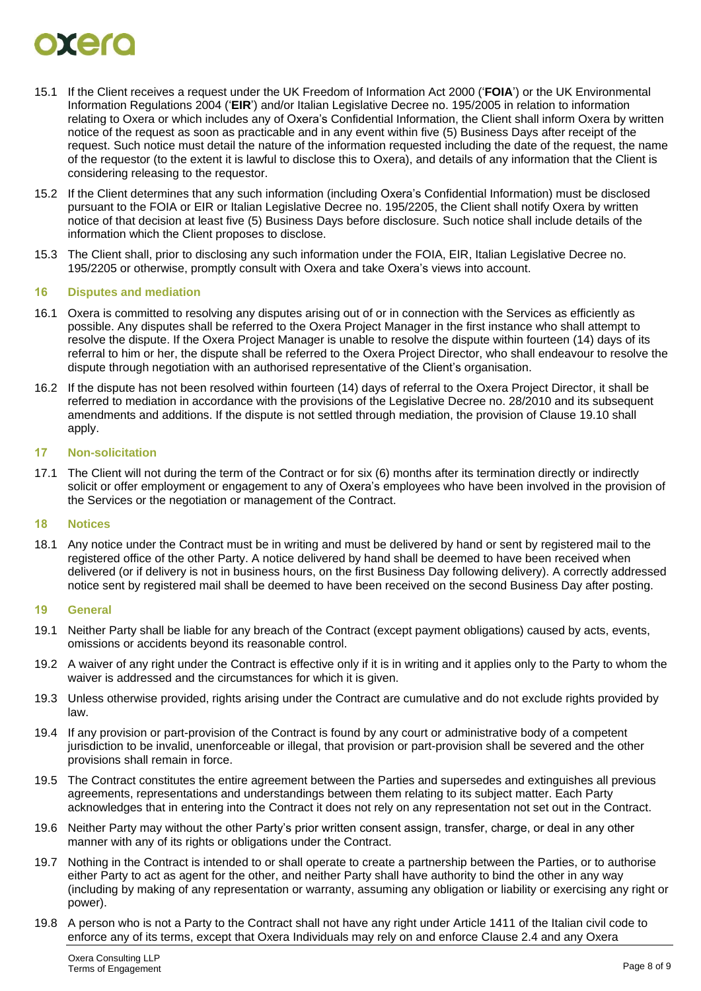# otek

- 15.1 If the Client receives a request under the UK Freedom of Information Act 2000 ('**FOIA**') or the UK Environmental Information Regulations 2004 ('**EIR**') and/or Italian Legislative Decree no. 195/2005 in relation to information relating to Oxera or which includes any of Oxera's Confidential Information, the Client shall inform Oxera by written notice of the request as soon as practicable and in any event within five (5) Business Days after receipt of the request. Such notice must detail the nature of the information requested including the date of the request, the name of the requestor (to the extent it is lawful to disclose this to Oxera), and details of any information that the Client is considering releasing to the requestor.
- 15.2 If the Client determines that any such information (including Oxera's Confidential Information) must be disclosed pursuant to the FOIA or EIR or Italian Legislative Decree no. 195/2205, the Client shall notify Oxera by written notice of that decision at least five (5) Business Days before disclosure. Such notice shall include details of the information which the Client proposes to disclose.
- 15.3 The Client shall, prior to disclosing any such information under the FOIA, EIR, Italian Legislative Decree no. 195/2205 or otherwise, promptly consult with Oxera and take Oxera's views into account.

#### **16 Disputes and mediation**

- 16.1 Oxera is committed to resolving any disputes arising out of or in connection with the Services as efficiently as possible. Any disputes shall be referred to the Oxera Project Manager in the first instance who shall attempt to resolve the dispute. If the Oxera Project Manager is unable to resolve the dispute within fourteen (14) days of its referral to him or her, the dispute shall be referred to the Oxera Project Director, who shall endeavour to resolve the dispute through negotiation with an authorised representative of the Client's organisation.
- 16.2 If the dispute has not been resolved within fourteen (14) days of referral to the Oxera Project Director, it shall be referred to mediation in accordance with the provisions of the Legislative Decree no. 28/2010 and its subsequent amendments and additions. If the dispute is not settled through mediation, the provision of Clause [19.10](#page-8-0) shall apply.

#### **17 Non-solicitation**

17.1 The Client will not during the term of the Contract or for six (6) months after its termination directly or indirectly solicit or offer employment or engagement to any of Oxera's employees who have been involved in the provision of the Services or the negotiation or management of the Contract.

#### **18 Notices**

18.1 Any notice under the Contract must be in writing and must be delivered by hand or sent by registered mail to the registered office of the other Party. A notice delivered by hand shall be deemed to have been received when delivered (or if delivery is not in business hours, on the first Business Day following delivery). A correctly addressed notice sent by registered mail shall be deemed to have been received on the second Business Day after posting.

#### <span id="page-7-0"></span>**19 General**

- 19.1 Neither Party shall be liable for any breach of the Contract (except payment obligations) caused by acts, events, omissions or accidents beyond its reasonable control.
- 19.2 A waiver of any right under the Contract is effective only if it is in writing and it applies only to the Party to whom the waiver is addressed and the circumstances for which it is given.
- 19.3 Unless otherwise provided, rights arising under the Contract are cumulative and do not exclude rights provided by law.
- 19.4 If any provision or part-provision of the Contract is found by any court or administrative body of a competent jurisdiction to be invalid, unenforceable or illegal, that provision or part-provision shall be severed and the other provisions shall remain in force.
- 19.5 The Contract constitutes the entire agreement between the Parties and supersedes and extinguishes all previous agreements, representations and understandings between them relating to its subject matter. Each Party acknowledges that in entering into the Contract it does not rely on any representation not set out in the Contract.
- 19.6 Neither Party may without the other Party's prior written consent assign, transfer, charge, or deal in any other manner with any of its rights or obligations under the Contract.
- 19.7 Nothing in the Contract is intended to or shall operate to create a partnership between the Parties, or to authorise either Party to act as agent for the other, and neither Party shall have authority to bind the other in any way (including by making of any representation or warranty, assuming any obligation or liability or exercising any right or power).
- 19.8 A person who is not a Party to the Contract shall not have any right under Article 1411 of the Italian civil code to enforce any of its terms, except that Oxera Individuals may rely on and enforce Clause [2.4](#page-1-1) and any Oxera